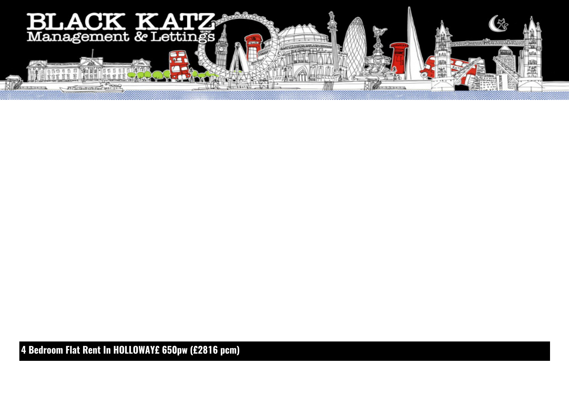

**4 Bedroom Flat Rent In HOLLOWAY£ 650pw (£2816 pcm)**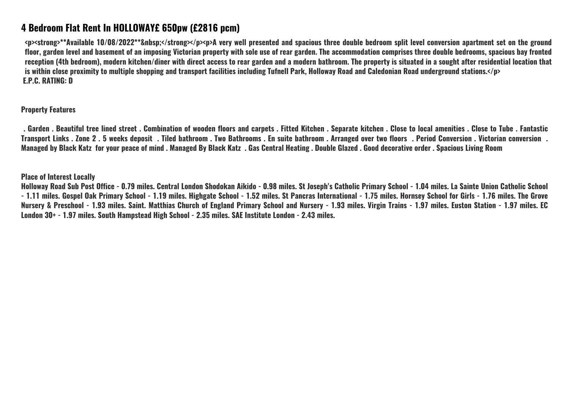## **4 Bedroom Flat Rent In HOLLOWAY£ 650pw (£2816 pcm)**

<p><strong>\*\*Available 10/08/2022\*\*&nbsp:</strong></p><p>A very well presented and spacious three double bedroom split level conversion apartment set on the ground **floor, garden level and basement of an imposing Victorian property with sole use of rear garden. The accommodation comprises three double bedrooms, spacious bay fronted reception (4th bedroom), modern kitchen/diner with direct access to rear garden and a modern bathroom. The property is situated in a sought after residential location that is within close proximity to multiple shopping and transport facilities including Tufnell Park, Holloway Road and Caledonian Road underground stations.</p> E.P.C. RATING: D**

**Property Features**

 **. Garden . Beautiful tree lined street . Combination of wooden floors and carpets . Fitted Kitchen . Separate kitchen . Close to local amenities . Close to Tube . Fantastic Transport Links . Zone 2 . 5 weeks deposit . Tiled bathroom . Two Bathrooms . En suite bathroom . Arranged over two floors . Period Conversion . Victorian conversion . Managed by Black Katz for your peace of mind . Managed By Black Katz . Gas Central Heating . Double Glazed . Good decorative order . Spacious Living Room**

## **Place of Interest Locally**

**Holloway Road Sub Post Office - 0.79 miles. Central London Shodokan Aikido - 0.98 miles. St Joseph's Catholic Primary School - 1.04 miles. La Sainte Union Catholic School - 1.11 miles. Gospel Oak Primary School - 1.19 miles. Highgate School - 1.52 miles. St Pancras International - 1.75 miles. Hornsey School for Girls - 1.76 miles. The Grove Nursery & Preschool - 1.93 miles. Saint. Matthias Church of England Primary School and Nursery - 1.93 miles. Virgin Trains - 1.97 miles. Euston Station - 1.97 miles. EC London 30+ - 1.97 miles. South Hampstead High School - 2.35 miles. SAE Institute London - 2.43 miles.**